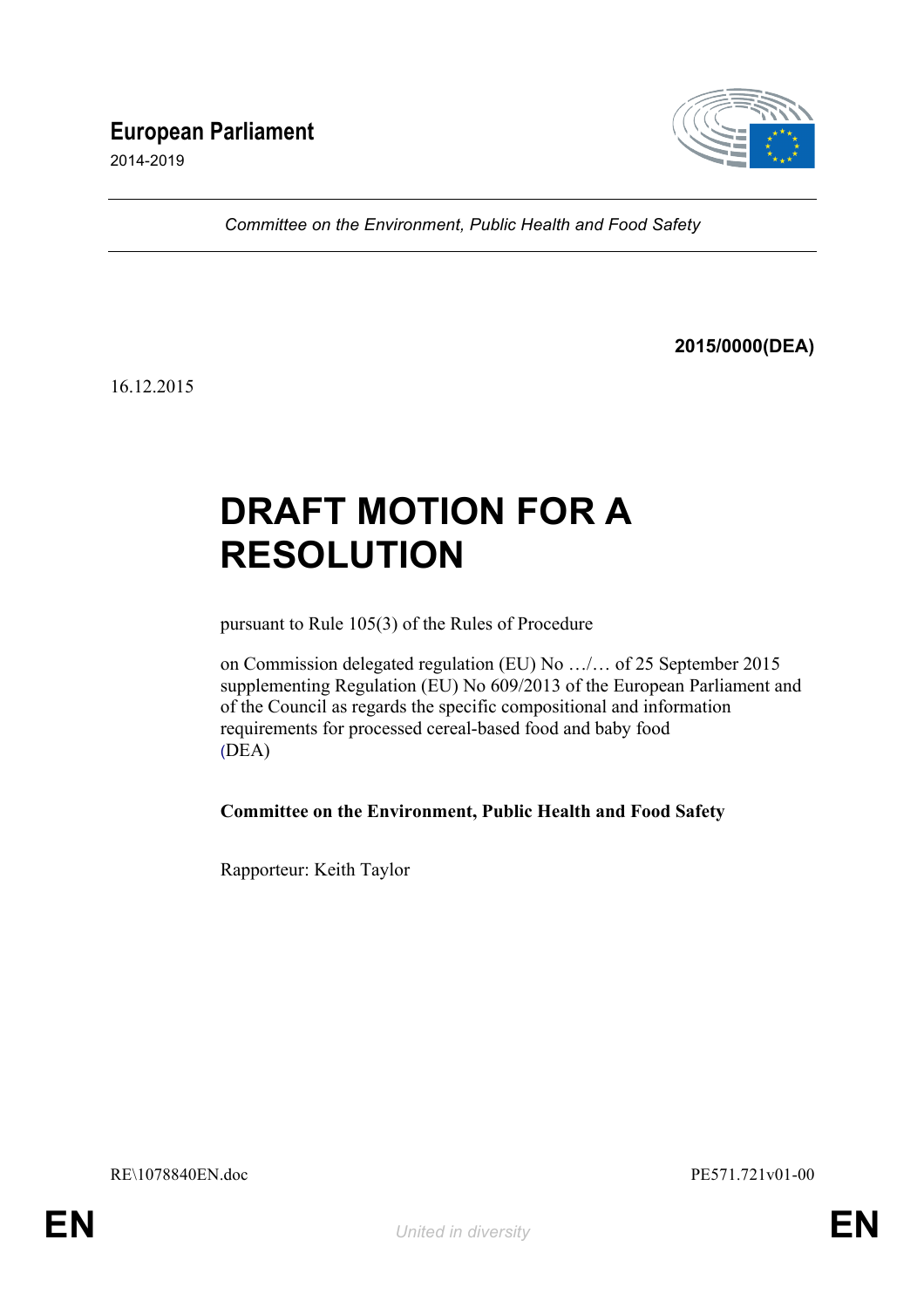## **European Parliament**

2014-2019



*Committee on the Environment, Public Health and Food Safety*

**2015/0000(DEA)**

16.12.2015

# **DRAFT MOTION FOR A RESOLUTION**

pursuant to Rule 105(3) of the Rules of Procedure

on Commission delegated regulation (EU) No …/… of 25 September 2015 supplementing Regulation (EU) No 609/2013 of the European Parliament and of the Council as regards the specific compositional and information requirements for processed cereal-based food and baby food (DEA)

**Committee on the Environment, Public Health and Food Safety**

Rapporteur: Keith Taylor

RE\1078840EN.doc PE571.721v01-00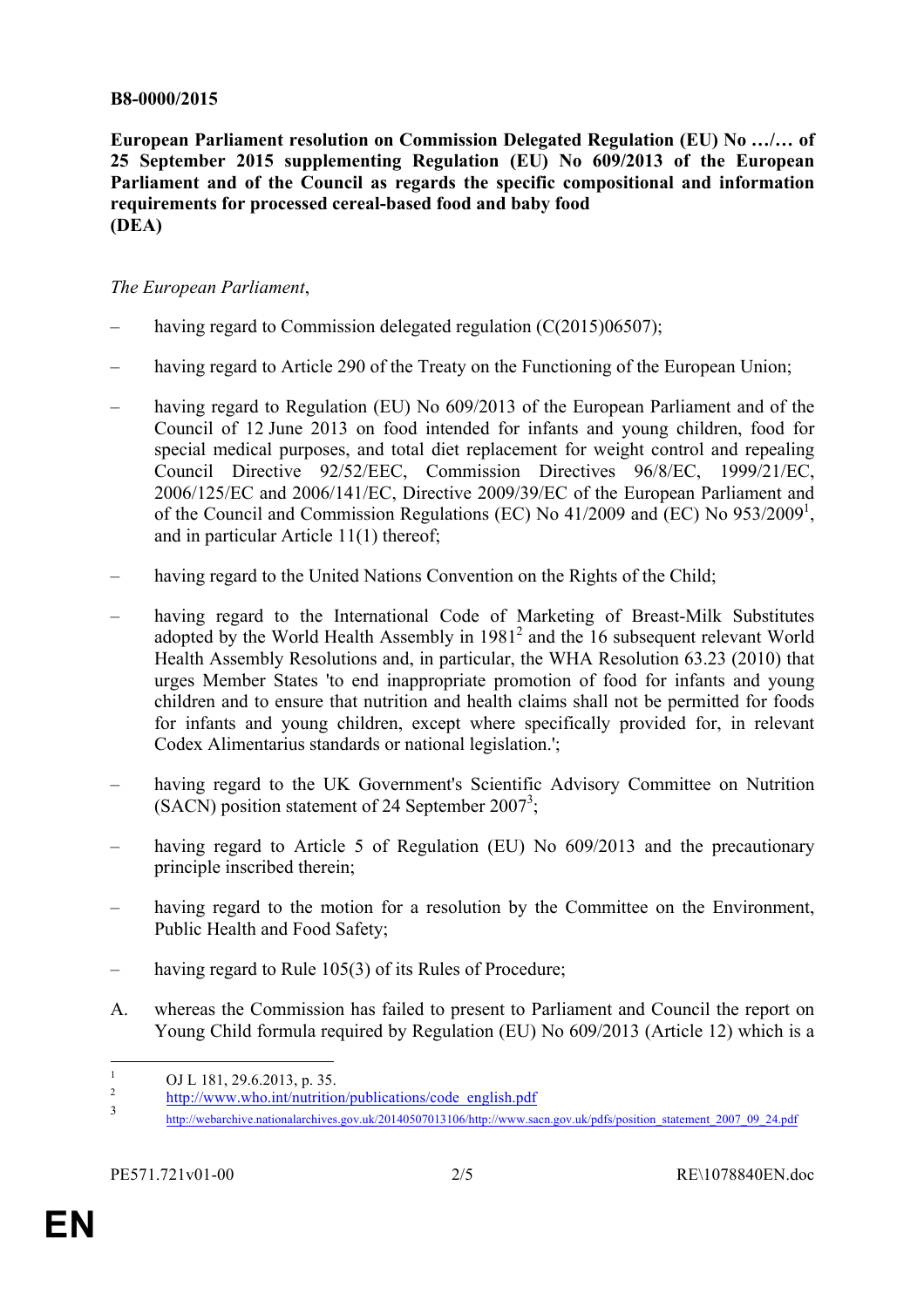#### **B8-0000/2015**

**European Parliament resolution on Commission Delegated Regulation (EU) No …/… of 25 September 2015 supplementing Regulation (EU) No 609/2013 of the European Parliament and of the Council as regards the specific compositional and information requirements for processed cereal-based food and baby food (DEA)**

#### *The European Parliament*,

- having regard to Commission delegated regulation  $(C(2015)06507)$ ;
- having regard to Article 290 of the Treaty on the Functioning of the European Union;
- having regard to Regulation (EU) No 609/2013 of the European Parliament and of the Council of 12 June 2013 on food intended for infants and young children, food for special medical purposes, and total diet replacement for weight control and repealing Council Directive 92/52/EEC, Commission Directives 96/8/EC, 1999/21/EC, 2006/125/EC and 2006/141/EC, Directive 2009/39/EC of the European Parliament and of the Council and Commission Regulations (EC) No 41/2009 and (EC) No 953/2009<sup>1</sup>, and in particular Article 11(1) thereof;
- having regard to the United Nations Convention on the Rights of the Child;
- having regard to the International Code of Marketing of Breast-Milk Substitutes adopted by the World Health Assembly in 1981<sup>2</sup> and the 16 subsequent relevant World Health Assembly Resolutions and, in particular, the WHA Resolution 63.23 (2010) that urges Member States 'to end inappropriate promotion of food for infants and young children and to ensure that nutrition and health claims shall not be permitted for foods for infants and young children, except where specifically provided for, in relevant Codex Alimentarius standards or national legislation.';
- having regard to the UK Government's Scientific Advisory Committee on Nutrition (SACN) position statement of 24 September 2007<sup>3</sup>;
- having regard to Article 5 of Regulation (EU) No 609/2013 and the precautionary principle inscribed therein;
- having regard to the motion for a resolution by the Committee on the Environment, Public Health and Food Safety;
- having regard to Rule 105(3) of its Rules of Procedure;
- A. whereas the Commission has failed to present to Parliament and Council the report on Young Child formula required by Regulation (EU) No 609/2013 (Article 12) which is a

<sup>1</sup> OJ L 181, 29.6.2013, p. 35.<br>
2 http://www.who.int/nutrition/publications/code\_english.pdf

http://webarchive.nationalarchives.gov.uk/20140507013106/http://www.sacn.gov.uk/pdfs/position\_statement\_2007\_09\_24.pdf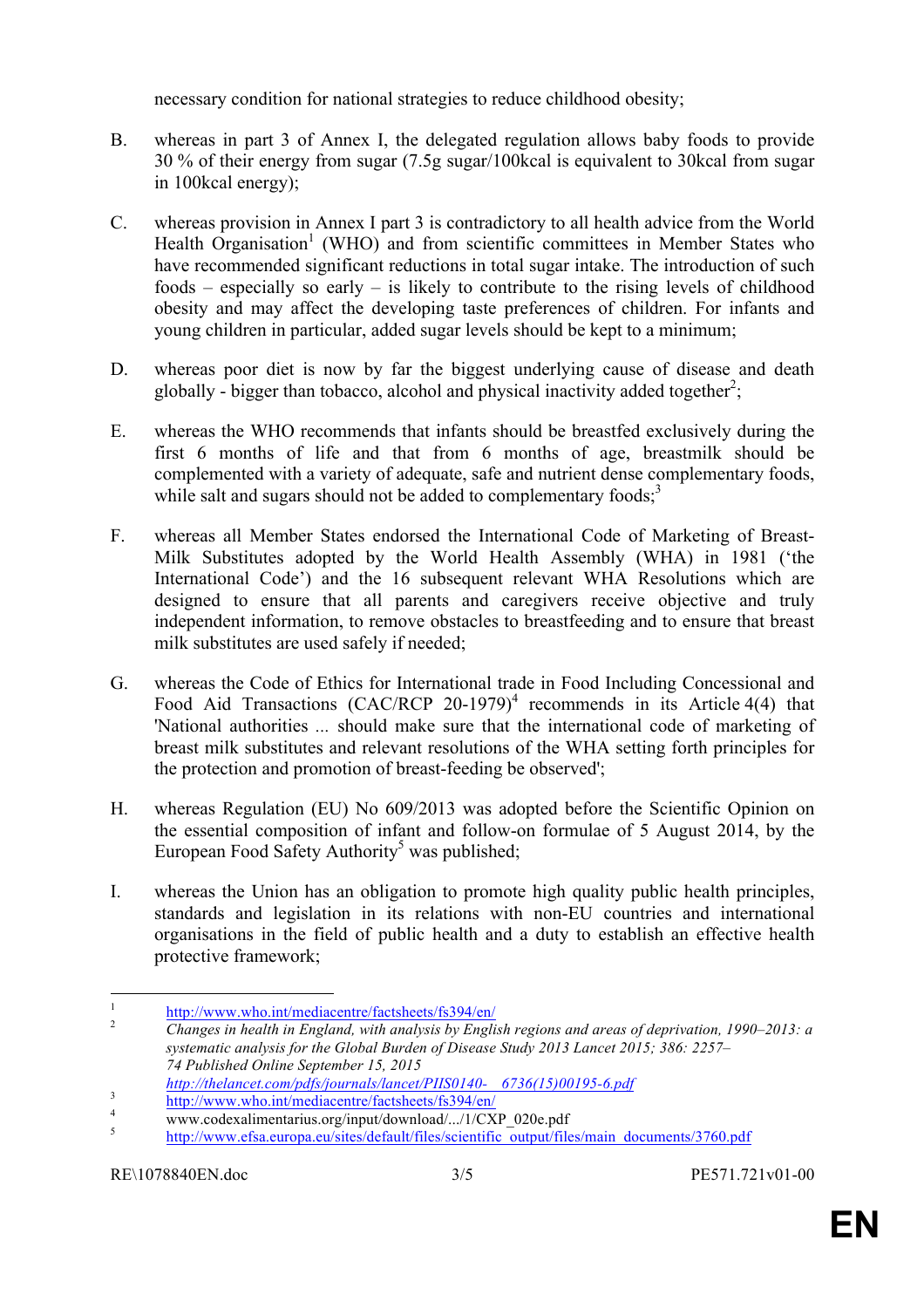necessary condition for national strategies to reduce childhood obesity;

- B. whereas in part 3 of Annex I, the delegated regulation allows baby foods to provide 30 % of their energy from sugar (7.5g sugar/100kcal is equivalent to 30kcal from sugar in 100kcal energy);
- C. whereas provision in Annex I part 3 is contradictory to all health advice from the World Health Organisation<sup>1</sup> (WHO) and from scientific committees in Member States who have recommended significant reductions in total sugar intake. The introduction of such foods – especially so early – is likely to contribute to the rising levels of childhood obesity and may affect the developing taste preferences of children. For infants and young children in particular, added sugar levels should be kept to a minimum;
- D. whereas poor diet is now by far the biggest underlying cause of disease and death globally - bigger than tobacco, alcohol and physical inactivity added together<sup>2</sup>;
- E. whereas the WHO recommends that infants should be breastfed exclusively during the first 6 months of life and that from 6 months of age, breastmilk should be complemented with a variety of adequate, safe and nutrient dense complementary foods, while salt and sugars should not be added to complementary foods; $3$
- F. whereas all Member States endorsed the International Code of Marketing of Breast-Milk Substitutes adopted by the World Health Assembly (WHA) in 1981 ('the International Code') and the 16 subsequent relevant WHA Resolutions which are designed to ensure that all parents and caregivers receive objective and truly independent information, to remove obstacles to breastfeeding and to ensure that breast milk substitutes are used safely if needed;
- G. whereas the Code of Ethics for International trade in Food Including Concessional and Food Aid Transactions (CAC/RCP 20-1979)<sup>4</sup> recommends in its Article 4(4) that 'National authorities *...* should make sure that the international code of marketing of breast milk substitutes and relevant resolutions of the WHA setting forth principles for the protection and promotion of breast-feeding be observed';
- H. whereas Regulation (EU) No 609/2013 was adopted before the Scientific Opinion on the essential composition of infant and follow-on formulae of 5 August 2014, by the European Food Safety Authority<sup>5</sup> was published;
- I. whereas the Union has an obligation to promote high quality public health principles, standards and legislation in its relations with non-EU countries and international organisations in the field of public health and a duty to establish an effective health protective framework;

<sup>1</sup> http://www.who.int/mediacentre/factsheets/fs394/en/ <sup>2</sup> *Changes in health in England, with analysis by English regions and areas of deprivation, 1990–2013: a systematic analysis for the Global Burden of Disease Study 2013 Lancet 2015; 386: 2257– 74 Published Online September 15, 2015*

<sup>&</sup>lt;sup>3</sup><br>
http://www.who.int/mediacentre/factsheets/fs394/en/<br>
www.codexalimentarius.org/input/download/.../1/CXP\_020e.pdf<br>
http://www.efsa.europa.eu/sites/default/files/scientific\_output/files/main\_documents/3760.pdf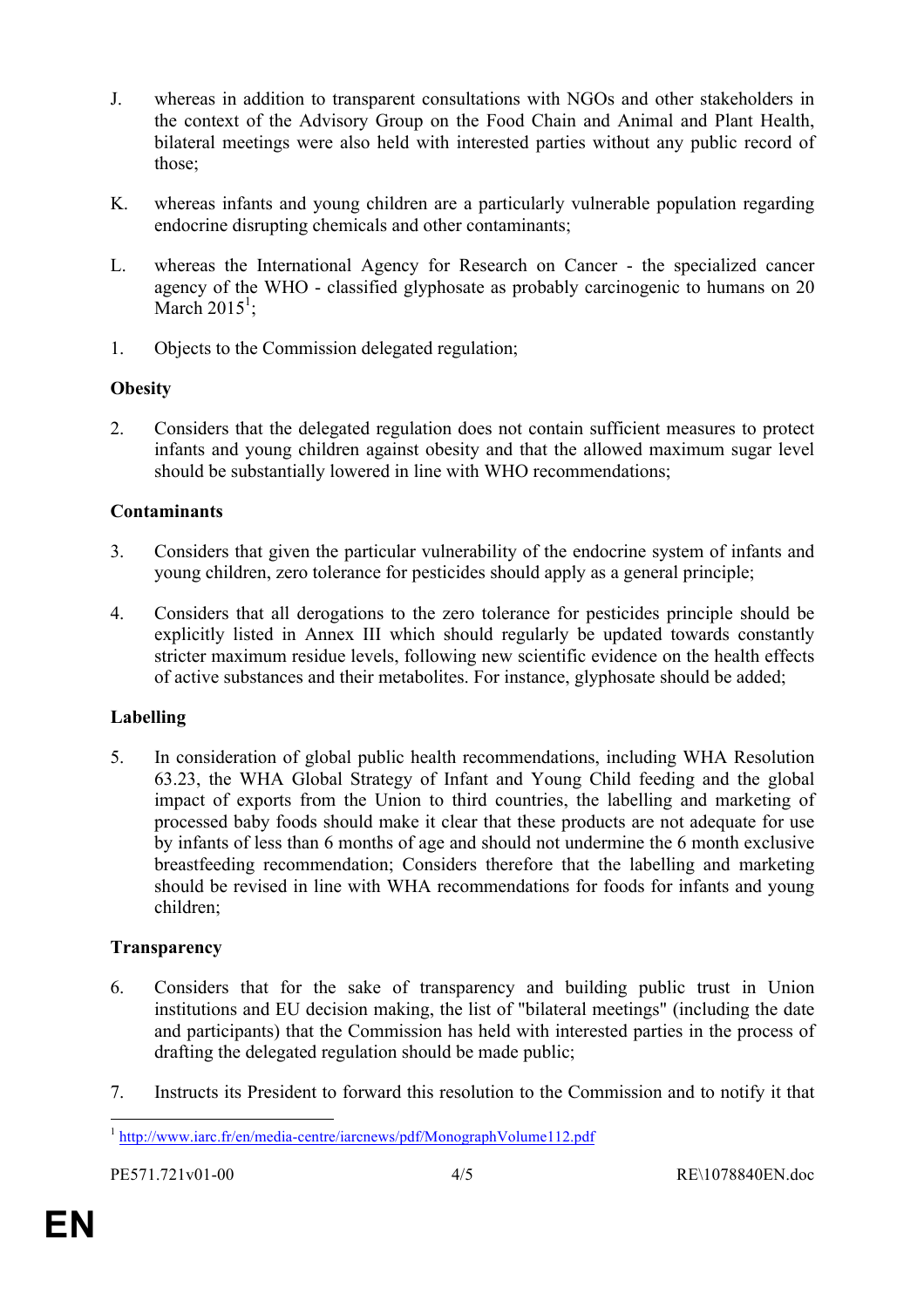- J. whereas in addition to transparent consultations with NGOs and other stakeholders in the context of the Advisory Group on the Food Chain and Animal and Plant Health, bilateral meetings were also held with interested parties without any public record of those;
- K. whereas infants and young children are a particularly vulnerable population regarding endocrine disrupting chemicals and other contaminants;
- L. whereas the International Agency for Research on Cancer the specialized cancer agency of the WHO - classified glyphosate as probably carcinogenic to humans on 20 March  $2015^1$ ;
- 1. Objects to the Commission delegated regulation;

### **Obesity**

2. Considers that the delegated regulation does not contain sufficient measures to protect infants and young children against obesity and that the allowed maximum sugar level should be substantially lowered in line with WHO recommendations;

### **Contaminants**

- 3. Considers that given the particular vulnerability of the endocrine system of infants and young children, zero tolerance for pesticides should apply as a general principle;
- 4. Considers that all derogations to the zero tolerance for pesticides principle should be explicitly listed in Annex III which should regularly be updated towards constantly stricter maximum residue levels, following new scientific evidence on the health effects of active substances and their metabolites. For instance, glyphosate should be added;

### **Labelling**

5. In consideration of global public health recommendations, including WHA Resolution 63.23, the WHA Global Strategy of Infant and Young Child feeding and the global impact of exports from the Union to third countries, the labelling and marketing of processed baby foods should make it clear that these products are not adequate for use by infants of less than 6 months of age and should not undermine the 6 month exclusive breastfeeding recommendation; Considers therefore that the labelling and marketing should be revised in line with WHA recommendations for foods for infants and young children;

### **Transparency**

- 6. Considers that for the sake of transparency and building public trust in Union institutions and EU decision making, the list of "bilateral meetings" (including the date and participants) that the Commission has held with interested parties in the process of drafting the delegated regulation should be made public;
- 7. Instructs its President to forward this resolution to the Commission and to notify it that

<sup>&</sup>lt;sup>1</sup> http://www.iarc.fr/en/media-centre/iarcnews/pdf/MonographVolume112.pdf